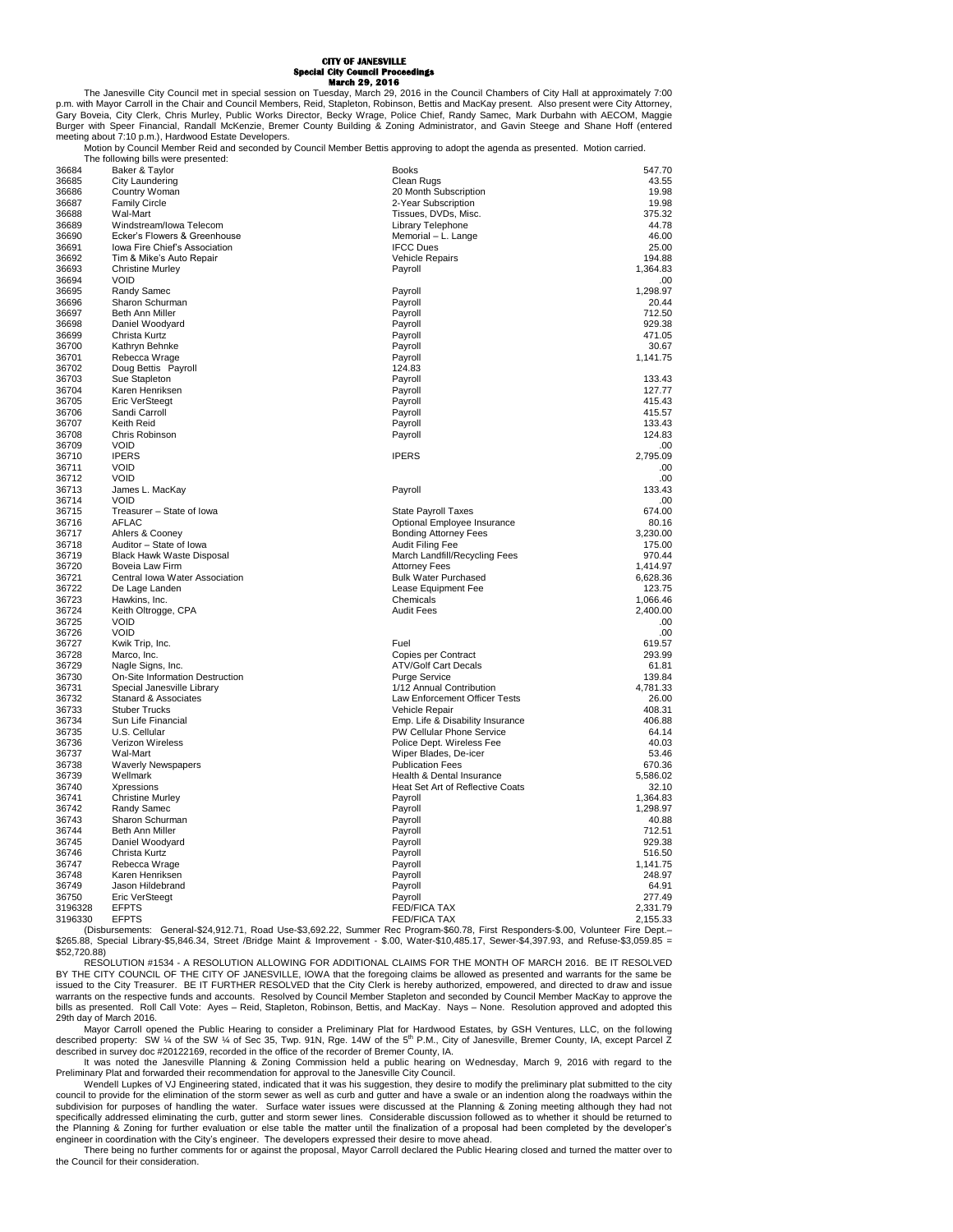## **CITY OF JANESVILLE Special City Council Proceedings March 29, 2016**

The Janesville City Council met in special session on Tuesday, March 29, 2016 in the Council Chambers of City Hall at approximately 7:00<br>P.m. with Mayor Carroll in the Chair and Council Members, Reid, Stapleton, Robinson, Burger with Speer Financial, Randall McKenzie, Bremer County Building & Zoning Administrator, and Gavin Steege and Shane Hoff (entered meeting about 7:10 p.m.), Hardwood Estate Developers.

Motion by Council Member Reid and seconded by Council Member Bettis approving to adopt the agenda as presented. Motion carried.

|                    | The following bills were presented:   |                                  |                    |
|--------------------|---------------------------------------|----------------------------------|--------------------|
| 36684              | Baker & Taylor                        | <b>Books</b>                     | 547.70             |
| 36685              | City Laundering                       | Clean Rugs                       | 43.55              |
| 36686              | Country Woman                         | 20 Month Subscription            | 19.98              |
| 36687              | <b>Family Circle</b>                  | 2-Year Subscription              | 19.98              |
| 36688              | Wal-Mart                              | Tissues, DVDs, Misc.             | 375.32             |
| 36689              | Windstream/Iowa Telecom               | Library Telephone                | 44.78              |
| 36690              | Ecker's Flowers & Greenhouse          | Memorial - L. Lange              | 46.00              |
| 36691              | Iowa Fire Chief's Association         | <b>IFCC Dues</b>                 | 25.00              |
| 36692              | Tim & Mike's Auto Repair              | Vehicle Repairs                  | 194.88             |
| 36693              | <b>Christine Murley</b>               | Payroll                          | 1,364.83           |
| 36694<br>36695     | <b>VOID</b>                           | Payroll                          | .00<br>1,298.97    |
|                    | Randy Samec                           |                                  |                    |
| 36696              | Sharon Schurman                       | Payroll                          | 20.44              |
| 36697<br>36698     | Beth Ann Miller<br>Daniel Woodyard    | Payroll<br>Pavroll               | 712.50<br>929.38   |
|                    |                                       | Payroll                          |                    |
| 36699              | Christa Kurtz<br>Kathryn Behnke       | Payroll                          | 471.05             |
| 36700<br>36701     | Rebecca Wrage                         | Pavroll                          | 30.67<br>1,141.75  |
| 36702              | Doug Bettis Payroll                   | 124.83                           |                    |
| 36703              | Sue Stapleton                         | Payroll                          | 133.43             |
| 36704              | Karen Henriksen                       | Payroll                          | 127.77             |
| 36705              | <b>Eric VerSteegt</b>                 | Payroll                          | 415.43             |
| 36706              | Sandi Carroll                         | Payroll                          | 415.57             |
| 36707              | Keith Reid                            | Payroll                          | 133.43             |
| 36708              | Chris Robinson                        | Payroll                          | 124.83             |
| 36709              | <b>VOID</b>                           |                                  | .00                |
| 36710              | <b>IPERS</b>                          | <b>IPERS</b>                     | 2,795.09           |
| 36711              | <b>VOID</b>                           |                                  | .00                |
| 36712              | <b>VOID</b>                           |                                  | .00                |
| 36713              | James L. MacKay                       | Payroll                          | 133.43             |
| 36714              | <b>VOID</b>                           |                                  | .00                |
| 36715              | Treasurer - State of lowa             | <b>State Payroll Taxes</b>       | 674.00             |
| 36716              | AFLAC                                 | Optional Employee Insurance      | 80.16              |
| 36717              | Ahlers & Cooney                       | <b>Bonding Attorney Fees</b>     | 3,230.00           |
| 36718              | Auditor - State of Iowa               | Audit Filing Fee                 | 175.00             |
| 36719              | <b>Black Hawk Waste Disposal</b>      | March Landfill/Recycling Fees    | 970.44             |
| 36720              | Boveia Law Firm                       | <b>Attorney Fees</b>             | 1,414.97           |
| 36721              | Central Iowa Water Association        | <b>Bulk Water Purchased</b>      | 6,628.36           |
| 36722              | De Lage Landen                        | Lease Equipment Fee              | 123.75             |
| 36723              | Hawkins, Inc.                         | Chemicals                        | 1,066.46           |
| 36724              | Keith Oltrogge, CPA                   | <b>Audit Fees</b>                | 2,400.00           |
| 36725              | <b>VOID</b>                           |                                  | .00                |
| 36726              | <b>VOID</b>                           |                                  | .00                |
| 36727              | Kwik Trip, Inc.                       | Fuel                             | 619.57             |
| 36728              | Marco, Inc.                           | Copies per Contract              | 293.99             |
| 36729              | Nagle Signs, Inc.                     | <b>ATV/Golf Cart Decals</b>      | 61.81              |
| 36730              | On-Site Information Destruction       | <b>Purge Service</b>             | 139.84             |
| 36731              | Special Janesville Library            | 1/12 Annual Contribution         | 4,781.33           |
| 36732              | Stanard & Associates                  | Law Enforcement Officer Tests    | 26.00              |
| 36733              | <b>Stuber Trucks</b>                  | Vehicle Repair                   | 408.31             |
| 36734              | Sun Life Financial                    | Emp. Life & Disability Insurance | 406.88             |
| 36735              | U.S. Cellular                         | PW Cellular Phone Service        | 64.14              |
| 36736              | Verizon Wireless                      | Police Dept. Wireless Fee        | 40.03              |
| 36737              | Wal-Mart                              | Wiper Blades, De-icer            | 53.46              |
| 36738              | <b>Waverly Newspapers</b>             | <b>Publication Fees</b>          | 670.36             |
| 36739              | Wellmark                              | Health & Dental Insurance        | 5,586.02           |
| 36740              | <b>Xpressions</b>                     | Heat Set Art of Reflective Coats | 32.10              |
| 36741              | <b>Christine Murley</b>               | Payroll                          | 1,364.83           |
| 36742              | Randy Samec                           | Payroll                          | 1,298.97           |
| 36743              | Sharon Schurman                       | Payroll                          | 40.88              |
| 36744              | Beth Ann Miller                       | Payroll                          | 712.51             |
| 36745              | Daniel Woodyard                       | Pavroll                          | 929.38             |
| 36746              | Christa Kurtz                         | Payroll                          | 516.50             |
| 36747              | Rebecca Wrage                         | Payroll                          | 1,141.75           |
| 36748              | Karen Henriksen                       | Payroll                          | 248.97             |
| 36749              | Jason Hildebrand                      | Payroll                          | 64.91              |
| 36750              | <b>Eric VerSteegt</b><br><b>EFPTS</b> | Payroll<br><b>FED/FICA TAX</b>   | 277.49<br>2,331.79 |
| 3196328<br>3196330 | <b>EFPTS</b>                          | <b>FED/FICA TAX</b>              | 2,155.33           |
|                    |                                       |                                  |                    |

2,155.33 EFPTS 2,155.33<br>- Disbursements: General-\$24,912.71, Road Use-\$3,692.22, Summer Rec Program-\$60.78, First Responders-\$.00, Volunteer Fire Dept \$265.88, Special Library-\$5,846.34, Street /Bridge Maint & Improvement - \$.00, Water-\$10,485.17, Sewer-\$4,397.93, and Refuse-\$3,059.85 = \$52,720.88)

RESOLUTION #1534 - A RESOLUTION ALLOWING FOR ADDITIONAL CLAIMS FOR THE MONTH OF MARCH 2016. BE IT RESOLVED BY THE CITY COUNCIL OF THE CITY OF JANESVILLE, IOWA that the foregoing claims be allowed as presented and warrants for the same be issued to the City Treasurer. BE IT FURTHER RESOLVED that the City Clerk is hereby authorized, empowered, and directed to draw and issue warrants on the respective funds and accounts. Resolved by Council Member Stapleton and seconded by Council Member MacKay to approve the<br>bills as presented. Roll Call Vote: Ayes – Reid, Stapleton, Robinson, Bettis, and M 29th day of March 2016.

Mayor Carroll opened the Public Hearing to consider a Preliminary Plat for Hardwood Estates, by GSH Ventures, LLC, on the following<br>described property: SW 1/4 of the SW 1/4 of Sec 35, Twp. 91N, Rge. 14W of the 5<sup>th</sup> P.M., described in survey doc #20122169, recorded in the office of the recorder of Bremer County, IA.

It was noted the Janesville Planning & Zoning Commission held a public hearing on Wednesday, March 9, 2016 with regard to the Preliminary Plat and forwarded their recommendation for approval to the Janesville City Council.

Wendell Lupkes of VJ Engineering stated, indicated that it was his suggestion, they desire to modify the preliminary plat submitted to the city council to provide for the elimination of the storm sewer as well as curb and gutter and have a swale or an indention along the roadways within the<br>subdivision for purposes of handling the water. Surface water issues were specifically addressed eliminating the curb, gutter and storm sewer lines. Considerable discussion followed as to whether it should be returned to the Planning & Zoning for further evaluation or else table the matter until the finalization of a proposal had been completed by the developer's<br>engineer in coordination with the City's engineer. The developers expressed t

There being no further comments for or against the proposal, Mayor Carroll declared the Public Hearing closed and turned the matter over to the Council for their consideration.